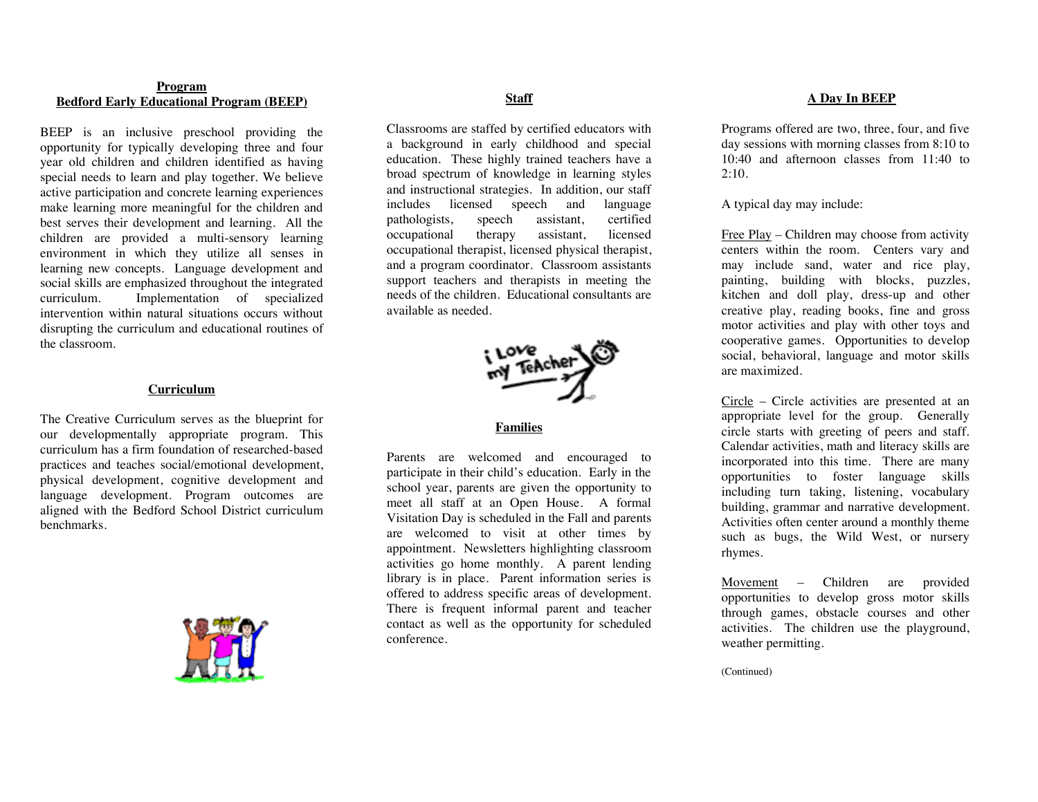## **Program Bedford Early Educational Program (BEEP)**

BEEP is an inclusive preschool providing the opportunity for typically developing three and four year old children and children identified as having special needs to learn and play together. We believe active participation and concrete learning experiences make learning more meaningful for the children and best serves their development and learning. All the children are provided a multi-sensory learning environment in which they utilize all senses in learning new concepts. Language development and social skills are emphasized throughout the integrated curriculum. Implementation of specialized intervention within natural situations occurs without disrupting the curriculum and educational routines of the classroom.

## **Curriculum**

The Creative Curriculum serves as the blueprint for our developmentally appropriate program. This curriculum has a firm foundation of researched-based practices and teaches social/emotional development, physical development, cognitive development and language development. Program outcomes are aligned with the Bedford School District curriculum benchmarks.



## **Staff**

Classrooms are staffed by certified educators with a background in early childhood and special education. These highly trained teachers have a broad spectrum of knowledge in learning styles and instructional strategies. In addition, our staff includes licensed speech and language pathologists, speech assistant, certified occupational therapy assistant, licensed occupational therapist, licensed physical therapist, and a program coordinator. Classroom assistants support teachers and therapists in meeting the needs of the children. Educational consultants are available as needed.



**Families**

Parents are welcomed and encouraged to participate in their child's education. Early in the school year, parents are given the opportunity to meet all staff at an Open House. A formal Visitation Day is scheduled in the Fall and parents are welcomed to visit at other times by appointment. Newsletters highlighting classroom activities go home monthly. A parent lending library is in place. Parent information series is offered to address specific areas of development. There is frequent informal parent and teacher contact as well as the opportunity for scheduled conference.

## **A Day In BEEP**

Programs offered are two, three, four, and five day sessions with morning classes from 8:10 to 10:40 and afternoon classes from 11:40 to  $2:10$ .

A typical day may include:

Free Play – Children may choose from activity centers within the room. Centers vary and may include sand, water and rice play, painting, building with blocks, puzzles, kitchen and doll play, dress-up and other creative play, reading books, fine and gross motor activities and play with other toys and cooperative games. Opportunities to develop social, behavioral, language and motor skills are maximized.

Circle – Circle activities are presented at an appropriate level for the group. Generally circle starts with greeting of peers and staff. Calendar activities, math and literacy skills are incorporated into this time. There are many opportunities to foster language skills including turn taking, listening, vocabulary building, grammar and narrative development. Activities often center around a monthly theme such as bugs, the Wild West, or nursery rhymes.

Movement – Children are provided opportunities to develop gross motor skills through games, obstacle courses and other activities. The children use the playground, weather permitting.

(Continued)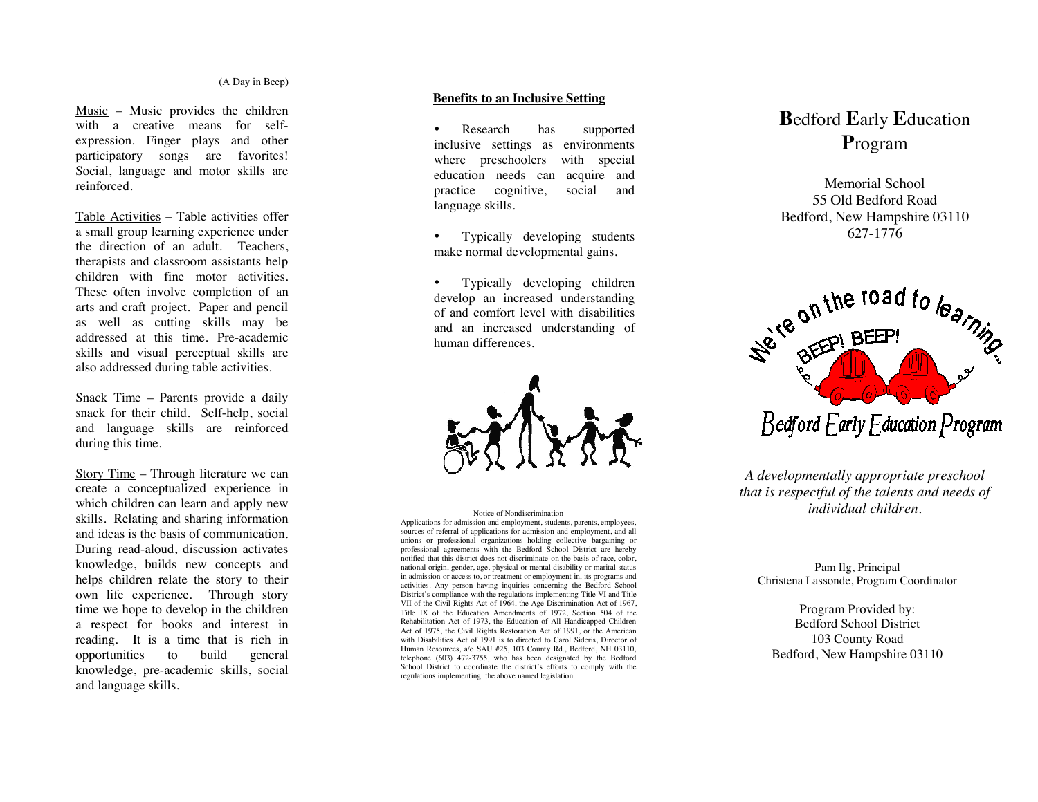Music – Music provides the children with a creative means for selfexpression. Finger plays and other participatory songs are favorites! Social, language and motor skills are reinforced.

Table Activities – Table activities offer a small group learning experience under the direction of an adult. Teachers, therapists and classroom assistants help children with fine motor activities. These often involve completion of an arts and craft project. Paper and pencil as well as cutting skills may be addressed at this time. Pre-academic skills and visual perceptual skills are also addressed during table activities.

Snack Time – Parents provide a daily snack for their child. Self-help, social and language skills are reinforced during this time.

Story Time – Through literature we can create a conceptualized experience in which children can learn and apply new skills. Relating and sharing information and ideas is the basis of communication. During read-aloud, discussion activates knowledge, builds new concepts and helps children relate the story to their own life experience. Through story time we hope to develop in the children a respect for books and interest in reading. It is a time that is rich in opportunities to build general knowledge, pre-academic skills, social and language skills.

## **Benefits to an Inclusive Setting**

• Research has supported inclusive settings as environments where preschoolers with special education needs can acquire and practice cognitive, social and language skills.

• Typically developing students make normal developmental gains.

• Typically developing children develop an increased understanding of and comfort level with disabilities and an increased understanding of human differences.



District's compliance with the regulations implementing Title VI and Title VII of the Civil Rights Act of 1964, the Age Discrimination Act of 1967, Title IX of the Education Amendments of 1972, Section 504 of the Rehabilitation Act of 1973, the Education of All Handicapped Children Human Resources, a/o SAU #25, 103 County Rd., Bedford, NH 03110, talenting 6031.472.3755, who has been designed by the Bedford School District to coordinate the district's efforts to comply with the regulations implementing the above named legislation. Applications for admission and employment, students, parents, employees, sources of referral of applications for admission and employment, and all unions or professional organizations holding collective bargaining or professional agreements with the Bedford School District are hereby notified that this district does not discriminate on the basis of race, color, national origin, gender, age, physical or mental disability or marital status in admission or access to, or treatment or employment in, its programs and activities. Any person having inquiries concerning the Bedford School VII of the Civil Rights Act of 1964, the Age Discrimination Act of 1967, Title IX of the Education Amendments of 1972, Section 504 of the Act of 1975, the Civil Rights Restoration Act of 1991, or the American with Disabilities Act of 1991 is to directed to Carol Sideris, Director of telephone (603) 472-3755, who has been designated by the Bedford

# **B**edford **E**arly **E**ducation **P**rogram

Memorial School 55 Old Bedford Road Bedford, New Hampshire 03110 627-1776



*A developmentally appropriate preschool that is respectful of the talents and needs of* Notice of Nondiscrimination *individual children. individual children.* 

### Pam Ilg, Principal Christena Lassonde, Program Coordinator

Program Provided by: Bedford School District 103 County Road Bedford, New Hampshire 03110